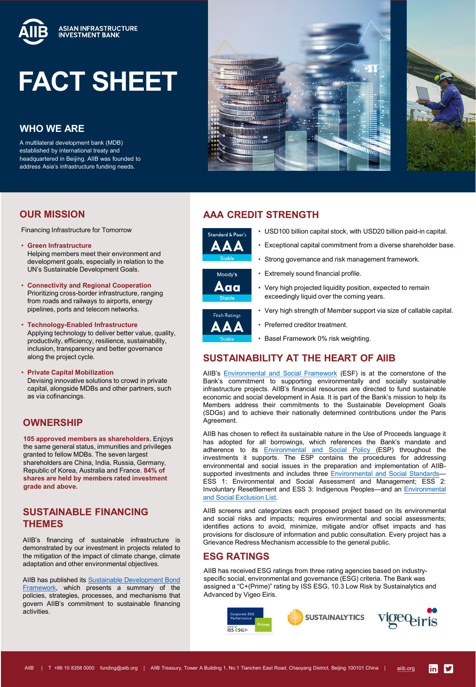

# **FACT SHEET**

# **WHO WE ARE**

A multilateral development bank (MDB) established by international treaty and headquartered in Beijing. AIIB was founded to address Asia's infrastructure funding needs.





## **OUR MISSION**

Financing Infrastructure for Tomorrow

- **Green Infrastructure** Helping members meet their environment and development goals, especially in relation to the UN's Sustainable Development Goals.
- **Connectivity and Regional Cooperation** Prioritizing cross-border infrastructure, ranging from roads and railways to airports, energy pipelines, ports and telecom networks.
- **Technology-Enabled Infrastructure** Applying technology to deliver better value, quality, productivity, efficiency, resilience, sustainability, inclusion, transparency and better governance along the project cycle.
- **Private Capital Mobilization** Devising innovative solutions to crowd in private capital, alongside MDBs and other partners, such as via cofinancings.

## **OWNERSHIP**

**105 approved members as shareholders**. Enjoys the same general status, immunities and privileges granted to fellow MDBs. The seven largest shareholders are China, India, Russia, Germany, Republic of Korea, Australia and France. **84% of shares are held by members rated investment grade and above.**

## **SUSTAINABLE FINANCING THEMES**

AIIB's financing of sustainable infrastructure is demonstrated by our investment in projects related to the mitigation of the impact of climate change, climate adaptation and other environmental objectives.

AIIB has published its Sustainable [Development](https://www.aiib.org/en/treasury/_common/_download/AIIB-SUSTAINABLE-DEVELOPMENT-BOND-FRAMEWORK.pdf) Bond Framework, which presents a summary of the policies, strategies, processes, and mechanisms that govern AIIB's commitment to sustainable financing activities.

# **AAA CREDIT STRENGTH**



- USD100 billion capital stock, with USD20 billion paid-in capital.
- Exceptional capital commitment from a diverse shareholder base.
- Strong governance and risk management framework.
- Moody's Aaa
- Very high strength of Member support via size of callable capital.

• Very high projected liquidity position, expected to remain



• Preferred creditor treatment.

exceedingly liquid over the coming years.

• Basel Framework 0% risk weighting.

• Extremely sound financial profile.

# **SUSTAINABILITY AT THE HEART OF AIIB**

AIIB's [Environmental](https://www.aiib.org/en/policies-strategies/framework-agreements/environmental-social-framework.html) and Social Framework (ESF) is at the cornerstone of the Bank's commitment to supporting environmentally and socially sustainable infrastructure projects. AIIB's financial resources are directed to fund sustainable economic and social development in Asia. It is part of the Bank's mission to help its Members address their commitments to the Sustainable Development Goals (SDGs) and to achieve their nationally determined contributions under the Paris Agreement.

AIIB has chosen to reflect its sustainable nature in the Use of Proceeds language it has adopted for all borrowings, which references the Bank's mandate and adherence to its [Environmental](https://www.aiib.org/en/policies-strategies/_download/environment-framework/AIIB-Revised-Environmental-and-Social-Framework-ESF-May-2021-final.pdf#page=17) and Social Policy (ESP) throughout the investments it supports. The ESP contains the procedures for addressing environmental and social issues in the preparation and implementation of AIIB-supported investments and includes three [Environmental](https://www.aiib.org/en/policies-strategies/_download/environment-framework/AIIB-Revised-Environmental-and-Social-Framework-ESF-May-2021-final.pdf#page=47) and Social Standards-ESS 1: Environmental and Social Assessment and Management; ESS 2: Involuntary Resettlement and ESS 3: Indigenous Peoples—and an [Environmental](https://www.aiib.org/en/policies-strategies/_download/environment-framework/AIIB-Revised-Environmental-and-Social-Framework-ESF-May-2021-final.pdf#page=83) and Social Exclusion List.

AIIB screens and categorizes each proposed project based on its environmental and social risks and impacts; requires environmental and social assessments; identifies actions to avoid, minimize, mitigate and/or offset impacts and has provisions for disclosure of information and public consultation. Every project has a Grievance Redress Mechanism accessible to the general public.

## **ESG RATINGS**

AIIB has received ESG ratings from three rating agencies based on industryspecific social, environmental and governance (ESG) criteria. The Bank was assigned a "C+(Prime)" rating by ISS ESG, 10.3 Low Risk by Sustainalytics and Advanced by Vigeo Eiris.